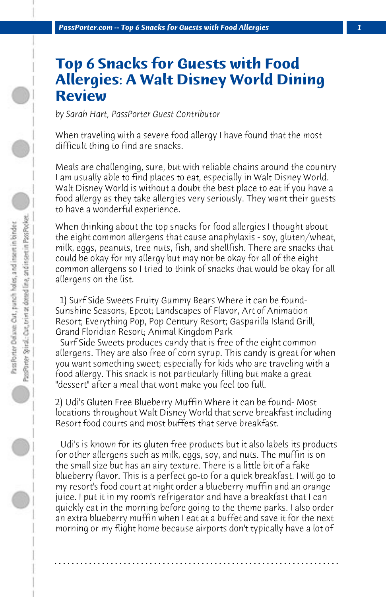## **Top 6 Snacks for Guests with Food Allergies: A Walt Disney World Dining Review**

*by Sarah Hart, PassPorter Guest Contributor*

When traveling with a severe food allergy I have found that the most difficult thing to find are snacks.

Meals are challenging, sure, but with reliable chains around the country I am usually able to find places to eat, especially in Walt Disney World. Walt Disney World is without a doubt the best place to eat if you have a food allergy as they take allergies very seriously. They want their guests to have a wonderful experience.

When thinking about the top snacks for food allergies I thought about the eight common allergens that cause anaphylaxis - soy, gluten/wheat, milk, eggs, peanuts, tree nuts, fish, and shellfish. There are snacks that could be okay for my allergy but may not be okay for all of the eight common allergens so I tried to think of snacks that would be okay for all allergens on the list.

 1) Surf Side Sweets Fruity Gummy Bears Where it can be found-Sunshine Seasons, Epcot; Landscapes of Flavor, Art of Animation Resort; Everything Pop, Pop Century Resort; Gasparilla Island Grill, Grand Floridian Resort; Animal Kingdom Park

 Surf Side Sweets produces candy that is free of the eight common allergens. They are also free of corn syrup. This candy is great for when you want something sweet; especially for kids who are traveling with a food allergy. This snack is not particularly filling but make a great "dessert" after a meal that wont make you feel too full.

2) Udi's Gluten Free Blueberry Muffin Where it can be found- Most locations throughout Walt Disney World that serve breakfast including Resort food courts and most buffets that serve breakfast.

 Udi's is known for its gluten free products but it also labels its products for other allergens such as milk, eggs, soy, and nuts. The muffin is on the small size but has an airy texture. There is a little bit of a fake blueberry flavor. This is a perfect go-to for a quick breakfast. I will go to my resort's food court at night order a blueberry muffin and an orange juice. I put it in my room's refrigerator and have a breakfast that I can quickly eat in the morning before going to the theme parks. I also order an extra blueberry muffin when I eat at a buffet and save it for the next morning or my flight home because airports don't typically have a lot of

**. . . . . . . . . . . . . . . . . . . . . . . . . . . . . . . . . . . . . . . . . . . . . . . . . . . . . . . . . . . . . . . . . .**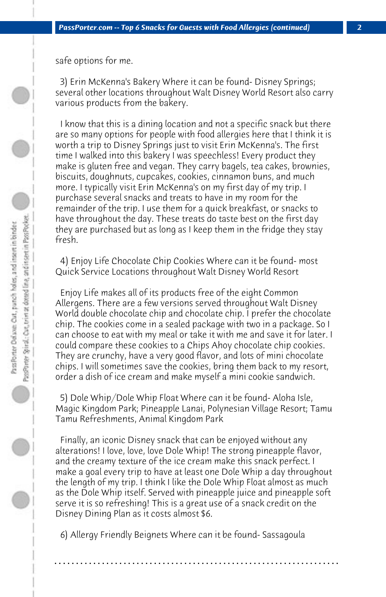safe options for me.

 3) Erin McKenna's Bakery Where it can be found- Disney Springs; several other locations throughout Walt Disney World Resort also carry various products from the bakery.

 I know that this is a dining location and not a specific snack but there are so many options for people with food allergies here that I think it is worth a trip to Disney Springs just to visit Erin McKenna's. The first time I walked into this bakery I was speechless! Every product they make is gluten free and vegan. They carry bagels, tea cakes, brownies, biscuits, doughnuts, cupcakes, cookies, cinnamon buns, and much more. I typically visit Erin McKenna's on my first day of my trip. I purchase several snacks and treats to have in my room for the remainder of the trip. I use them for a quick breakfast, or snacks to have throughout the day. These treats do taste best on the first day they are purchased but as long as I keep them in the fridge they stay fresh.

 4) Enjoy Life Chocolate Chip Cookies Where can it be found- most Quick Service Locations throughout Walt Disney World Resort

 Enjoy Life makes all of its products free of the eight Common Allergens. There are a few versions served throughout Walt Disney World double chocolate chip and chocolate chip. I prefer the chocolate chip. The cookies come in a sealed package with two in a package. So I can choose to eat with my meal or take it with me and save it for later. I could compare these cookies to a Chips Ahoy chocolate chip cookies. They are crunchy, have a very good flavor, and lots of mini chocolate chips. I will sometimes save the cookies, bring them back to my resort, order a dish of ice cream and make myself a mini cookie sandwich.

 5) Dole Whip/Dole Whip Float Where can it be found- Aloha Isle, Magic Kingdom Park; Pineapple Lanai, Polynesian Village Resort; Tamu Tamu Refreshments, Animal Kingdom Park

 Finally, an iconic Disney snack that can be enjoyed without any alterations! I love, love, love Dole Whip! The strong pineapple flavor, and the creamy texture of the ice cream make this snack perfect. I make a goal every trip to have at least one Dole Whip a day throughout the length of my trip. I think I like the Dole Whip Float almost as much as the Dole Whip itself. Served with pineapple juice and pineapple soft serve it is so refreshing! This is a great use of a snack credit on the Disney Dining Plan as it costs almost \$6.

 6) Allergy Friendly Beignets Where can it be found- Sassagoula

**. . . . . . . . . . . . . . . . . . . . . . . . . . . . . . . . . . . . . . . . . . . . . . . . . . . . . . . . . . . . . . . . . .**